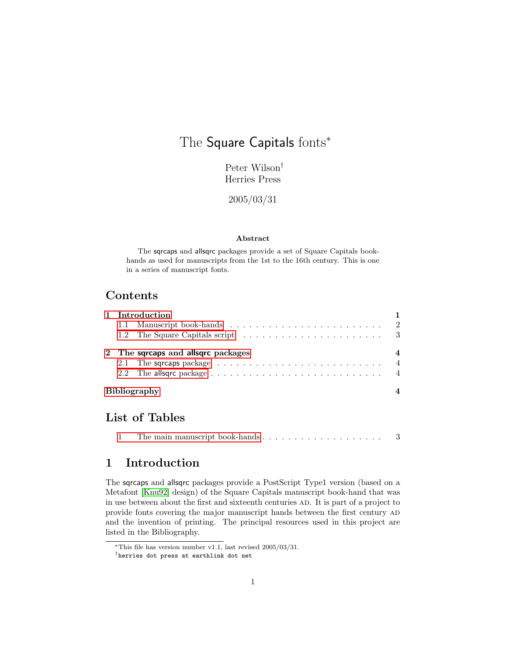# The Square Capitals fonts<sup>\*</sup>

Peter Wilson† Herries Press

2005/03/31

#### Abstract

The sqrcaps and allsqrc packages provide a set of Square Capitals bookhands as used for manuscripts from the 1st to the 16th century. This is one in a series of manuscript fonts.

## Contents

| 1 Introduction |                                                                                   |                          |  |  |  |  |  |  |
|----------------|-----------------------------------------------------------------------------------|--------------------------|--|--|--|--|--|--|
|                |                                                                                   |                          |  |  |  |  |  |  |
|                |                                                                                   |                          |  |  |  |  |  |  |
|                | 2 The sqrcaps and allsqrc packages                                                | $\overline{\mathcal{A}}$ |  |  |  |  |  |  |
|                | 2.1 The sqrcaps package $\ldots \ldots \ldots \ldots \ldots \ldots \ldots \ldots$ | $\overline{4}$           |  |  |  |  |  |  |
|                |                                                                                   | $\overline{4}$           |  |  |  |  |  |  |
|                | <b>Bibliography</b>                                                               |                          |  |  |  |  |  |  |

## List of Tables

|--|--|--|--|--|--|--|--|--|--|--|--|--|--|--|--|--|--|--|--|--|

## <span id="page-0-0"></span>1 Introduction

The sqrcaps and allsqrc packages provide a PostScript Type1 version (based on a Metafont [\[Knu92\]](#page-4-0) design) of the Square Capitals manuscript book-hand that was in use between about the first and sixteenth centuries ad. It is part of a project to provide fonts covering the major manuscript hands between the first century AD and the invention of printing. The principal resources used in this project are listed in the Bibliography.

<sup>∗</sup>This file has version number v1.1, last revised 2005/03/31.

<sup>†</sup>herries dot press at earthlink dot net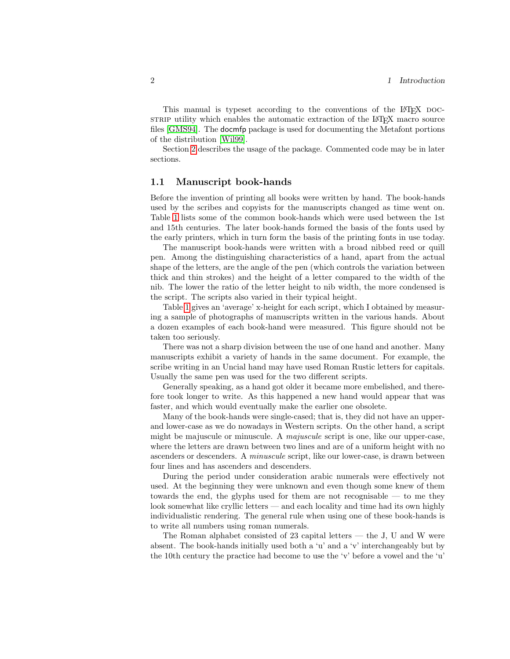This manual is typeset according to the conventions of the LAT<sub>EX</sub> DOCstrip utility which enables the automatic extraction of the LAT<sub>EX</sub> macro source files [\[GMS94\]](#page-4-1). The docmfp package is used for documenting the Metafont portions of the distribution [\[Wil99\]](#page-4-2).

Section [2](#page-3-0) describes the usage of the package. Commented code may be in later sections.

#### <span id="page-1-0"></span>1.1 Manuscript book-hands

Before the invention of printing all books were written by hand. The book-hands used by the scribes and copyists for the manuscripts changed as time went on. Table [1](#page-2-1) lists some of the common book-hands which were used between the 1st and 15th centuries. The later book-hands formed the basis of the fonts used by the early printers, which in turn form the basis of the printing fonts in use today.

The manuscript book-hands were written with a broad nibbed reed or quill pen. Among the distinguishing characteristics of a hand, apart from the actual shape of the letters, are the angle of the pen (which controls the variation between thick and thin strokes) and the height of a letter compared to the width of the nib. The lower the ratio of the letter height to nib width, the more condensed is the script. The scripts also varied in their typical height.

Table [1](#page-2-1) gives an 'average' x-height for each script, which I obtained by measuring a sample of photographs of manuscripts written in the various hands. About a dozen examples of each book-hand were measured. This figure should not be taken too seriously.

There was not a sharp division between the use of one hand and another. Many manuscripts exhibit a variety of hands in the same document. For example, the scribe writing in an Uncial hand may have used Roman Rustic letters for capitals. Usually the same pen was used for the two different scripts.

Generally speaking, as a hand got older it became more embelished, and therefore took longer to write. As this happened a new hand would appear that was faster, and which would eventually make the earlier one obsolete.

Many of the book-hands were single-cased; that is, they did not have an upperand lower-case as we do nowadays in Western scripts. On the other hand, a script might be majuscule or minuscule. A *majuscule* script is one, like our upper-case, where the letters are drawn between two lines and are of a uniform height with no ascenders or descenders. A minuscule script, like our lower-case, is drawn between four lines and has ascenders and descenders.

During the period under consideration arabic numerals were effectively not used. At the beginning they were unknown and even though some knew of them towards the end, the glyphs used for them are not recognisable — to me they look somewhat like cryllic letters — and each locality and time had its own highly individualistic rendering. The general rule when using one of these book-hands is to write all numbers using roman numerals.

The Roman alphabet consisted of  $23$  capital letters  $-$  the J, U and W were absent. The book-hands initially used both a 'u' and a 'v' interchangeably but by the 10th century the practice had become to use the 'v' before a vowel and the 'u'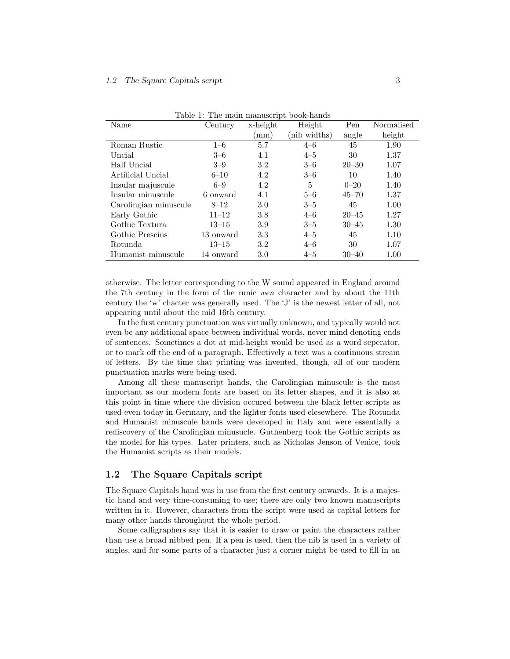| Name                  | Century   | x-height | Height       | Pen       | Normalised |
|-----------------------|-----------|----------|--------------|-----------|------------|
|                       |           | mm)      | (nib widths) | angle     | height     |
| Roman Rustic          | $1 - 6$   | 5.7      | $4 - 6$      | 45        | 1.90       |
| Uncial                | $3 - 6$   | 4.1      | $4 - 5$      | 30        | 1.37       |
| Half Uncial           | $3 - 9$   | 3.2      | $3 - 6$      | $20 - 30$ | 1.07       |
| Artificial Uncial     | $6 - 10$  | 4.2      | $3 - 6$      | 10        | 1.40       |
| Insular majuscule     | $6 - 9$   | 4.2      | 5            | $0 - 20$  | 1.40       |
| Insular minuscule     | 6 onward  | 4.1      | $5 - 6$      | $45 - 70$ | 1.37       |
| Carolingian minuscule | $8 - 12$  | 3.0      | $3 - 5$      | 45        | 1.00       |
| Early Gothic          | $11 - 12$ | 3.8      | $4 - 6$      | $20 - 45$ | 1.27       |
| Gothic Textura        | $13 - 15$ | 3.9      | $3 - 5$      | $30 - 45$ | 1.30       |
| Gothic Prescius       | 13 onward | 3.3      | $4 - 5$      | 45        | 1.10       |
| Rotunda               | $13 - 15$ | 3.2      | $4 - 6$      | 30        | 1.07       |
| Humanist minuscule    | 14 onward | 3.0      | $4 - 5$      | $30 - 40$ | 1.00       |

<span id="page-2-1"></span>Table 1: The main manuscript book-hands

otherwise. The letter corresponding to the W sound appeared in England around the 7th century in the form of the runic wen character and by about the 11th century the 'w' chacter was generally used. The 'J' is the newest letter of all, not appearing until about the mid 16th century.

In the first century punctuation was virtually unknown, and typically would not even be any additional space between individual words, never mind denoting ends of sentences. Sometimes a dot at mid-height would be used as a word seperator, or to mark off the end of a paragraph. Effectively a text was a continuous stream of letters. By the time that printing was invented, though, all of our modern punctuation marks were being used.

Among all these manuscript hands, the Carolingian minuscule is the most important as our modern fonts are based on its letter shapes, and it is also at this point in time where the division occured between the black letter scripts as used even today in Germany, and the lighter fonts used elesewhere. The Rotunda and Humanist minuscule hands were developed in Italy and were essentially a rediscovery of the Carolingian minusucle. Guthenberg took the Gothic scripts as the model for his types. Later printers, such as Nicholas Jenson of Venice, took the Humanist scripts as their models.

#### <span id="page-2-0"></span>1.2 The Square Capitals script

The Square Capitals hand was in use from the first century onwards. It is a majestic hand and very time-consuming to use; there are only two known manuscripts written in it. However, characters from the script were used as capital letters for many other hands throughout the whole period.

Some calligraphers say that it is easier to draw or paint the characters rather than use a broad nibbed pen. If a pen is used, then the nib is used in a variety of angles, and for some parts of a character just a corner might be used to fill in an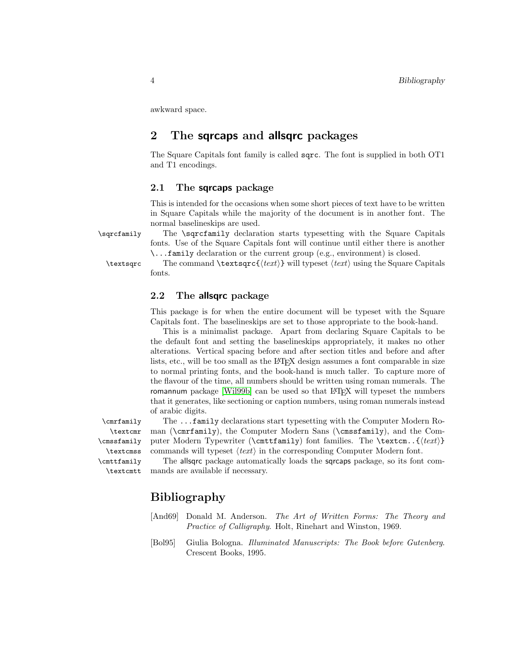awkward space.

## <span id="page-3-0"></span>2 The sqrcaps and allsqrc packages

The Square Capitals font family is called sqrc. The font is supplied in both OT1 and T1 encodings.

#### <span id="page-3-1"></span>2.1 The sqrcaps package

This is intended for the occasions when some short pieces of text have to be written in Square Capitals while the majority of the document is in another font. The normal baselineskips are used.

\sqrcfamily The \sqrcfamily declaration starts typesetting with the Square Capitals fonts. Use of the Square Capitals font will continue until either there is another \...family declaration or the current group (e.g., environment) is closed.

 $\text{text}$  The command  $\text{text}}$  will typeset  $\text{text}$  using the Square Capitals fonts.

#### <span id="page-3-2"></span>2.2 The allsqrc package

This package is for when the entire document will be typeset with the Square Capitals font. The baselineskips are set to those appropriate to the book-hand.

This is a minimalist package. Apart from declaring Square Capitals to be the default font and setting the baselineskips appropriately, it makes no other alterations. Vertical spacing before and after section titles and before and after lists, etc., will be too small as the LATEX design assumes a font comparable in size to normal printing fonts, and the book-hand is much taller. To capture more of the flavour of the time, all numbers should be written using roman numerals. The romannum package [\[Wil99b\]](#page-4-3) can be used so that LAT<sub>EX</sub> will typeset the numbers that it generates, like sectioning or caption numbers, using roman numerals instead of arabic digits.

\textcmr \cmssfamily \textcmss \cmttfamily \textcmtt

\cmrfamily The ...family declarations start typesetting with the Computer Modern Ro man (\cmrfamily), the Computer Modern Sans (\cmssfamily), and the Computer Modern Typewriter ( $\mathrm{family}$ ) font families. The  $\text{text}$ commands will typeset  $\langle text \rangle$  in the corresponding Computer Modern font.

> The allsqrc package automatically loads the sqrcaps package, so its font commands are available if necessary.

## Bibliography

- <span id="page-3-3"></span>[And69] Donald M. Anderson. The Art of Written Forms: The Theory and Practice of Calligraphy. Holt, Rinehart and Winston, 1969.
- [Bol95] Giulia Bologna. Illuminated Manuscripts: The Book before Gutenberg. Crescent Books, 1995.